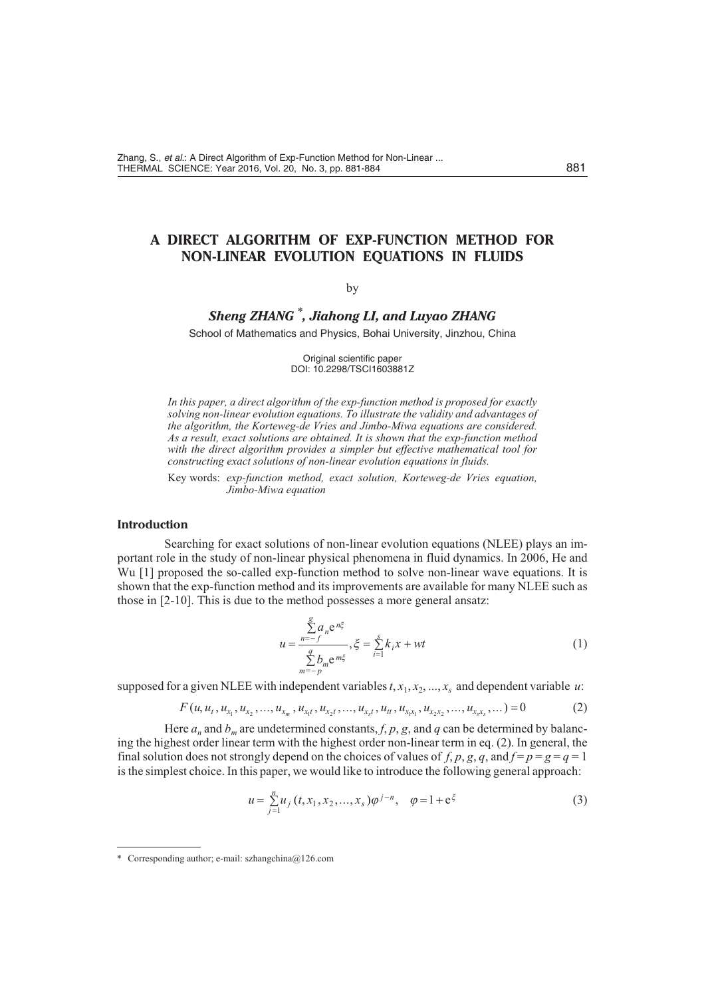# **A DIRECT ALGORITHM OF EXP-FUNCTION METHOD FOR NON-LINEAR EVOLUTION EQUATIONS IN FLUIDS**

### by

# *Sheng ZHANG \* , Jiahong LI, and Luyao ZHANG*

School of Mathematics and Physics, Bohai University, Jinzhou, China

Original scientific paper DOI: 10.2298/TSCI1603881Z

In this paper, a direct algorithm of the exp-function method is proposed for exactly solving non-linear evolution equations. To illustrate the validity and advantages of the algorithm, the Korteweg-de Vries and Jimbo-Miwa equations are considered. As a result, exact solutions are obtained. It is shown that the exp-function method with the direct algorithm provides a simpler but effective mathematical tool for *constructing exact solutions of non-linear evolution equations in fluids.* 

Key words: *exp-function method, exact solution, Korteweg-de Vries equation, Jimbo-Miwa equation*

### **Introduction**

Searching for exact solutions of non-linear evolution equations (NLEE) plays an important role in the study of non-linear physical phenomena in fluid dynamics. In 2006, He and Wu [1] proposed the so-called exp-function method to solve non-linear wave equations. It is shown that the exp-function method and its improvements are available for many NLEE such as those in  $[2-10]$ . This is due to the method possesses a more general ansatz:

$$
u \quad \frac{a_n e^{n\xi}}{q} , \xi \quad \frac{s}{i} k_i x \quad wt
$$

$$
m = p
$$
 (1)

supposed for a given NLEE with independent variables  $t, x_1, x_2, ..., x_s$  and dependent variable  $u$ :

$$
F(u, u_t, u_{x_1}, u_{x_2}, ..., u_{x_m}, u_{x_1}, u_{x_2}, ..., u_{x_s}, u_t, u_{x_1}, u_{x_2}, ..., u_{x_s}, ..., 0)
$$
 (2)

Here  $a_n$  and  $b_m$  are undetermined constants,  $f$ ,  $p$ ,  $g$ , and  $q$  can be determined by balancing the highest order linear term with the highest order non-linear term in eq. (2). In general, the final solution does not strongly depend on the choices of values of *f*, *p*, *g*, *q*, and  $f = p = g = q = 1$ is the simplest choice. In this paper, we would like to introduce the following general approach:

$$
u \quad \int_{j=1}^{n} u_j(t, x_1, x_2, \dots, x_s) \varphi^{j-n}, \quad \varphi \quad 1 \quad e^{\xi} \tag{3}
$$

<sup>\*</sup> Corresponding author; e-mail: szhangchina@126.com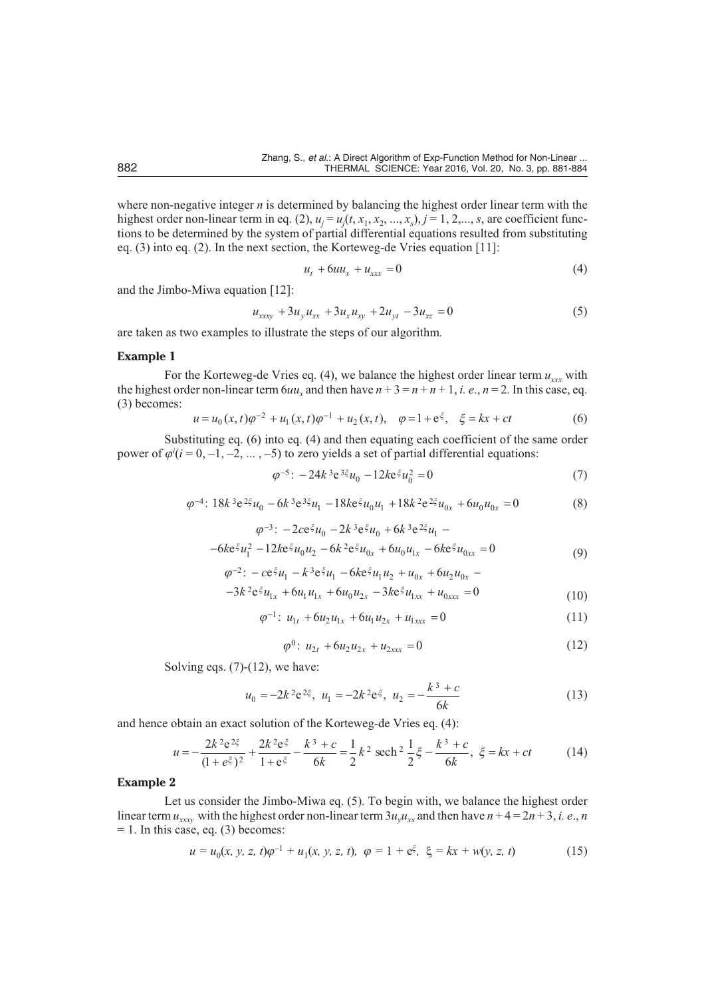where non-negative integer  $n$  is determined by balancing the highest order linear term with the highest order non-linear term in eq. (2),  $u_i = u_i(t, x_1, x_2, ..., x_s)$ ,  $j = 1, 2, ..., s$ , are coefficient functions to be determined by the system of partial differential equations resulted from substituting eq.  $(3)$  into eq.  $(2)$ . In the next section, the Korteweg-de Vries equation [11]:

$$
u_t \quad 6uu_x \quad u_{xxx} \quad 0 \tag{4}
$$

and the Jimbo-Miwa equation [12]:

$$
u_{xxxy} \quad 3u_y u_{xx} \quad 3u_x u_{xy} \quad 2u_{yt} \quad 3u_{xz} \quad 0 \tag{5}
$$

are taken as two examples to illustrate the steps of our algorithm.

## **Example 1**

For the Korteweg-de Vries eq. (4), we balance the highest order linear term  $u_{xx}$  with the highest order non-linear term  $6uu_x$  and then have  $n + 3 = n + n + 1$ , *i. e.*,  $n = 2$ . In this case, eq. (3) becomes:

$$
u \t u_0(x,t)\varphi^2 \t u_1(x,t)\varphi^1 \t u_2(x,t), \varphi \t 1 \t e^{\xi}, \t \xi \t kx \t ct \t (6)
$$

Substituting eq. (6) into eq. (4) and then equating each coefficient of the same order power of  $\varphi^{i}(i=0,-1,-2,...,-5)$  to zero yields a set of partial differential equations:

$$
\varphi^5: \quad 24k^3 e^{3\xi} u_0 \quad 12k e^{\xi} u_0^2 \quad 0 \tag{7}
$$

$$
\varphi^{4}: 18k^{3}e^{2\xi}u_{0} \quad 6k^{3}e^{3\xi}u_{1} \quad 18k^{2}\xi u_{0}u_{1} \quad 18k^{2}e^{2\xi}u_{0x} \quad 6u_{0}u_{0x} \quad 0 \tag{8}
$$

$$
\varphi^{3}: 2ce^{\xi}u_{0} - 2k^{3}e^{\xi}u_{0} - 6k^{3}e^{2\xi}u_{1}
$$
  
6ke<sup>\xi</sup>u<sub>1</sub><sup>2</sup> 12ke<sup>\xi</sup>u<sub>0</sub>u<sub>2</sub> 6k<sup>2</sup>e<sup>\xi</sup>u<sub>0x</sub> 6u<sub>0</sub>u<sub>1x</sub> 6ke<sup>\xi</sup>u<sub>0xx</sub> 0 (9)

$$
\begin{array}{ll}\n\rho^{2}: & c e^{\xi} u_{1} & k^{3} e^{\xi} u_{1} & 6 k e^{\xi} u_{1} u_{2} & u_{0x} & 6 u_{2} u_{0x} \\
3k^{2} e^{\xi} u_{1x} & 6 u_{1} u_{1x} & 6 u_{0} u_{2x} & 3 k e^{\xi} u_{1xx} & u_{0xxx} & 0\n\end{array}\n\tag{10}
$$

$$
\varphi^{-1}: u_{1t} \quad 6u_2 u_{1x} \quad 6u_1 u_{2x} \quad u_{1xxx} \quad 0 \tag{11}
$$

$$
f_{\rm{max}}(x)=\frac{1}{2}x
$$

$$
\varphi^0: u_{2t} \quad 6u_2 u_{2x} \quad u_{2xxx} \quad 0 \tag{12}
$$

Solving eqs.  $(7)-(12)$ , we have:

$$
u_0 \t 2k^2 e^{2\xi}, \ u_1 \t 2k^2 e^{\xi}, \ u_2 \t \frac{k^3 c}{6k} \t (13)
$$

and hence obtain an exact solution of the Korteweg-de Vries eq. (4):

$$
u \quad \frac{2k^2e^{2\xi}}{(1-e^{\xi})^2} \quad \frac{2k^2e^{\xi}}{1-e^{\xi}} \quad \frac{k^3}{6k} \quad \frac{c}{2} \quad \frac{1}{2}k^2 \text{ sech}^2\frac{1}{2}\xi \quad \frac{k^3}{6k} \quad \xi \quad kx \quad ct \tag{14}
$$

### **Example 2**

Let us consider the Jimbo-Miwa eq. (5). To begin with, we balance the highest order linear term  $u_{xxx}$  with the highest order non-linear term  $3u_yu_{xx}$  and then have  $n + 4 = 2n + 3$ , *i. e.*, *n*  $= 1$ . In this case, eq. (3) becomes:

$$
u = u_0(x, y, z, t)\varphi^{-1} + u_1(x, y, z, t), \quad \varphi = 1 + e^{\xi}, \qquad = kx + w(y, z, t) \tag{15}
$$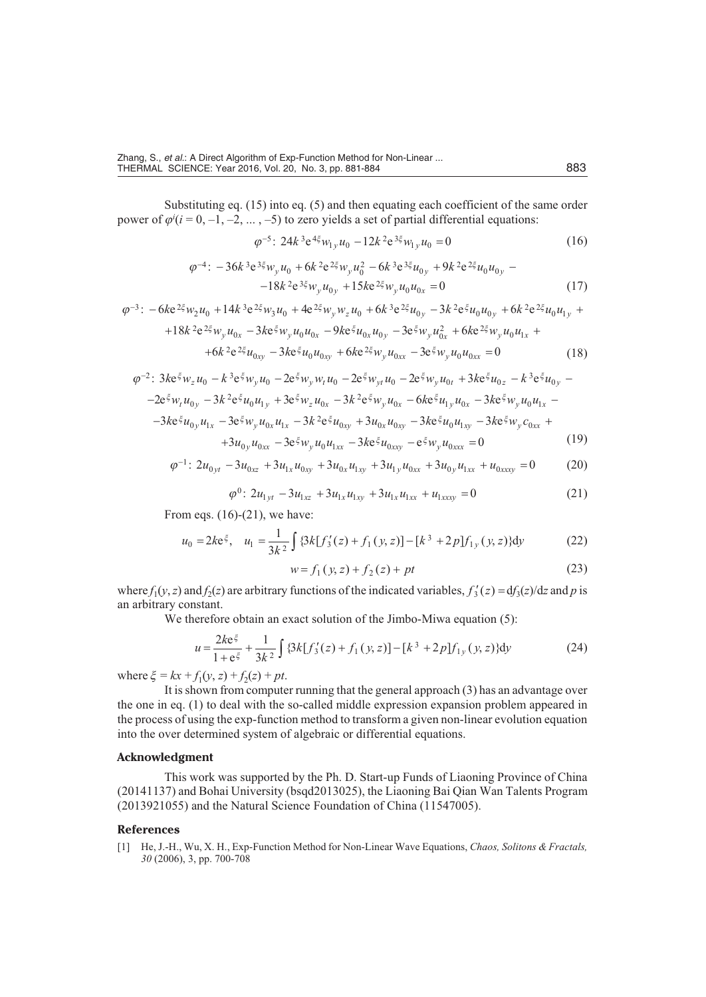Substituting eq.  $(15)$  into eq.  $(5)$  and then equating each coefficient of the same order power of  $\varphi^i$  ( $i = 0, -1, -2, ..., -5$ ) to zero yields a set of partial differential equations:

$$
\varphi^{5}: 24k^{3}e^{4\xi}w_{1y}u_{0} \quad 12k^{2}e^{3\xi}w_{1y}u_{0} \quad 0 \tag{16}
$$

$$
\varphi^{4}: \quad 36k^{3}e^{3\xi}w_{y}u_{0} \quad 6k^{2}e^{2\xi}w_{y}u_{0}^{2} \quad 6k^{3}e^{3\xi}u_{0y} \quad 9k^{2}e^{2\xi}u_{0}u_{0y}
$$

$$
18k^{2}e^{3\xi}w_{y}u_{0y} \quad 15ke^{2\xi}w_{y}u_{0}u_{0x} \quad 0 \tag{17}
$$

$$
\varphi^{3}: \quad 6ke^{2\xi}w_{2}u_{0} \quad 14k^{3}e^{2\xi}w_{3}u_{0} \quad 4e^{2\xi}w_{y}w_{z}u_{0} \quad 6k^{3}e^{2\xi}u_{0y} \quad 3k^{2}e^{\xi}u_{0}u_{0y} \quad 6k^{2}e^{2\xi}u_{0}u_{1y}
$$
\n
$$
18k^{2}e^{2\xi}w_{y}u_{0x} \quad 3ke^{\xi}w_{y}u_{0}u_{0x} \quad 9ke^{\xi}u_{0x}u_{0y} \quad 3e^{\xi}w_{y}u_{0x}^{2} \quad 6ke^{2\xi}w_{y}u_{0}u_{1x}
$$
\n
$$
6k^{2}e^{2\xi}u_{0xy} \quad 3ke^{\xi}u_{0}u_{0xy} \quad 6ke^{2\xi}w_{y}u_{0xx} \quad 3e^{\xi}w_{y}u_{0}u_{0xx} \quad 0 \tag{18}
$$

$$
\varphi^{2}: 3ke^{\xi}w_{z}u_{0} \t k^{3}e^{\xi}w_{y}u_{0} \t 2e^{\xi}w_{y}w_{t}u_{0} \t 2e^{\xi}w_{y}u_{0} \t 2e^{\xi}w_{y}u_{0t} \t 3ke^{\xi}u_{0z} \t k^{3}e^{\xi}u_{0y} \n2e^{\xi}w_{t}u_{0y} \t 3k^{2}e^{\xi}u_{0}u_{1y} \t 3e^{\xi}w_{z}u_{0x} \t 3k^{2}e^{\xi}w_{y}u_{0x} \t 6ke^{\xi}u_{1y}u_{0x} \t 3ke^{\xi}w_{y}u_{0}u_{1x} \n3ke^{\xi}u_{0y}u_{1x} \t 3e^{\xi}w_{y}u_{0x}u_{1x} \t 3k^{2}e^{\xi}u_{0xy} \t 3u_{0x}u_{0xy} \t 3ke^{\xi}u_{0}u_{1xy} \t 3ke^{\xi}w_{y}c_{0xx} \n3u_{0y}u_{0xx} \t 3e^{\xi}w_{y}u_{0}u_{1xx} \t 3ke^{\xi}u_{0xxy} \t e^{\xi}w_{y}u_{0xxx} \t 0
$$
\n(19)

$$
\varphi^{-1}: 2u_{0yt} - 3u_{0xz} - 3u_{1x}u_{0xy} - 3u_{0x}u_{1xy} - 3u_{1y}u_{0xx} - 3u_{0y}u_{1xx} - u_{0xxxy} = 0 \tag{20}
$$

$$
\varphi^{0}: 2u_{1yt} \quad 3u_{1xz} \quad 3u_{1x}u_{1xy} \quad 3u_{1x}u_{1xx} \quad u_{1xxxx} \quad 0 \tag{21}
$$

From eqs.  $(16)-(21)$ , we have:

$$
u_0 \quad 2k e^{\xi}, \quad u_1 \quad \frac{1}{3k^2} \quad \{3k[f_3(z) \quad f_1(y,z)] \quad [k^3 \quad 2p] f_{1y}(y,z) \} dy \tag{22}
$$

$$
w \quad f_1(y, z) \quad f_2(z) \quad pt \tag{23}
$$

where  $f_1(y, z)$  and  $f_2(z)$  are arbitrary functions of the indicated variables,  $f_3(z)$  d $f_3(z)/dz$  and p is an arbitrary constant.

We therefore obtain an exact solution of the Jimbo-Miwa equation  $(5)$ :

$$
u \quad \frac{2k e^{\xi}}{1 - e^{\xi}} \quad \frac{1}{3k^2} \quad \{3k[f_3(z) \quad f_1(y, z)] \quad [k^3 \quad 2p] f_{1y}(y, z) \} dy \tag{24}
$$

where  $\xi = kx + f_1(y, z) + f_2(z) + pt$ .

It is shown from computer running that the general approach  $(3)$  has an advantage over the one in eq.  $(1)$  to deal with the so-called middle expression expansion problem appeared in the process of using the exp-function method to transform a given non-linear evolution equation into the over determined system of algebraic or differential equations.

### **Ac knowl edg ment**

This work was supported by the Ph. D. Start-up Funds of Liaoning Province of China (20141137) and Bohai University (bsqd2013025), the Liaoning Bai Qian Wan Talents Program  $(2013921055)$  and the Natural Science Foundation of China  $(11547005)$ .

#### **Ref er ences**

[1] He, J.-H., Wu, X. H., Exp-Function Method for Non-Linear Wave Equations, *Chaos, Solitons & Fractals*, *30* (2006), 3, pp. 700-708